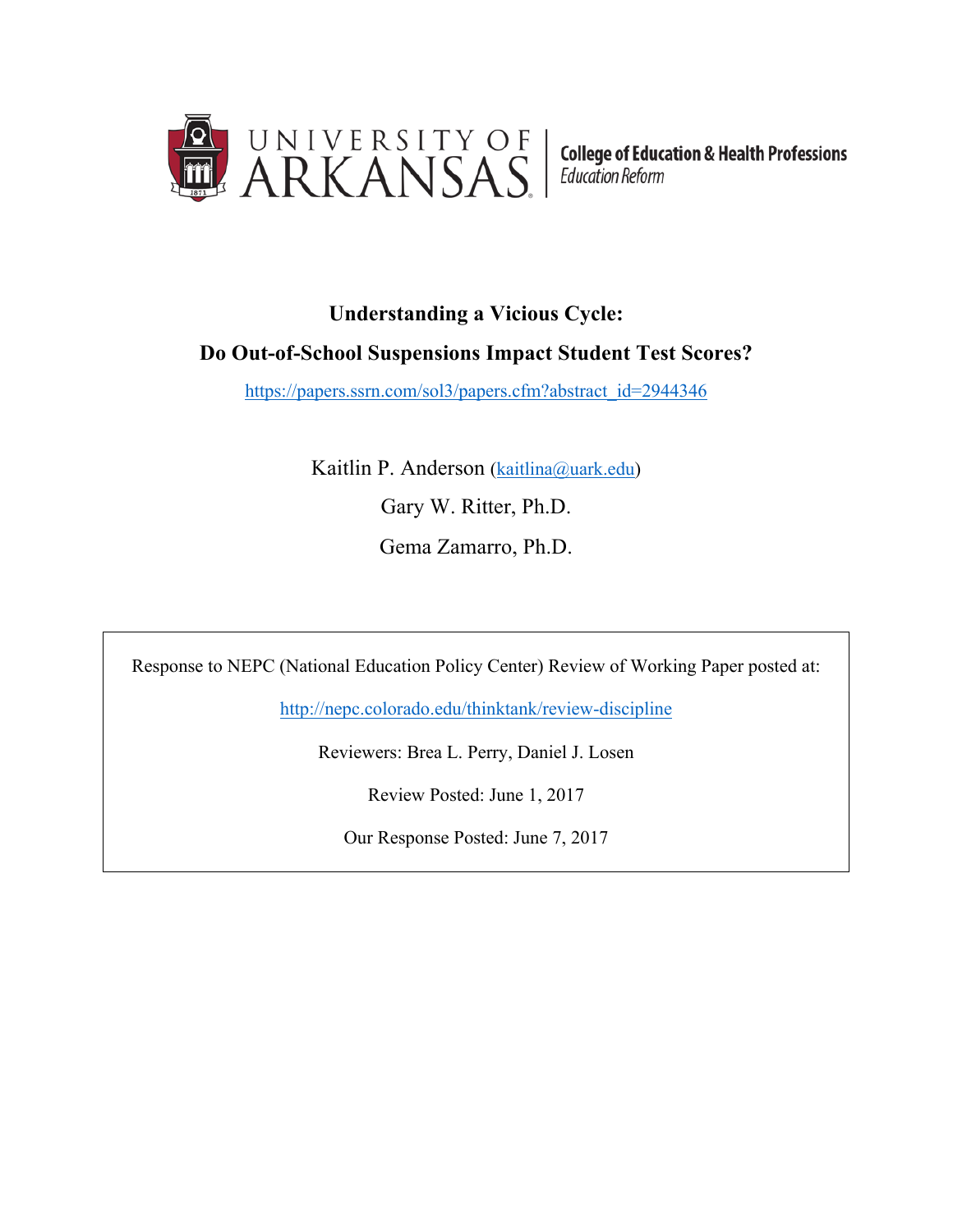

**College of Education & Health Professions Education Reform** 

# **Understanding a Vicious Cycle:**

## **Do Out-of-School Suspensions Impact Student Test Scores?**

https://papers.ssrn.com/sol3/papers.cfm?abstract\_id=2944346

Kaitlin P. Anderson (kaitlina@uark.edu) Gary W. Ritter, Ph.D. Gema Zamarro, Ph.D.

Response to NEPC (National Education Policy Center) Review of Working Paper posted at:

http://nepc.colorado.edu/thinktank/review-discipline

Reviewers: Brea L. Perry, Daniel J. Losen

Review Posted: June 1, 2017

Our Response Posted: June 7, 2017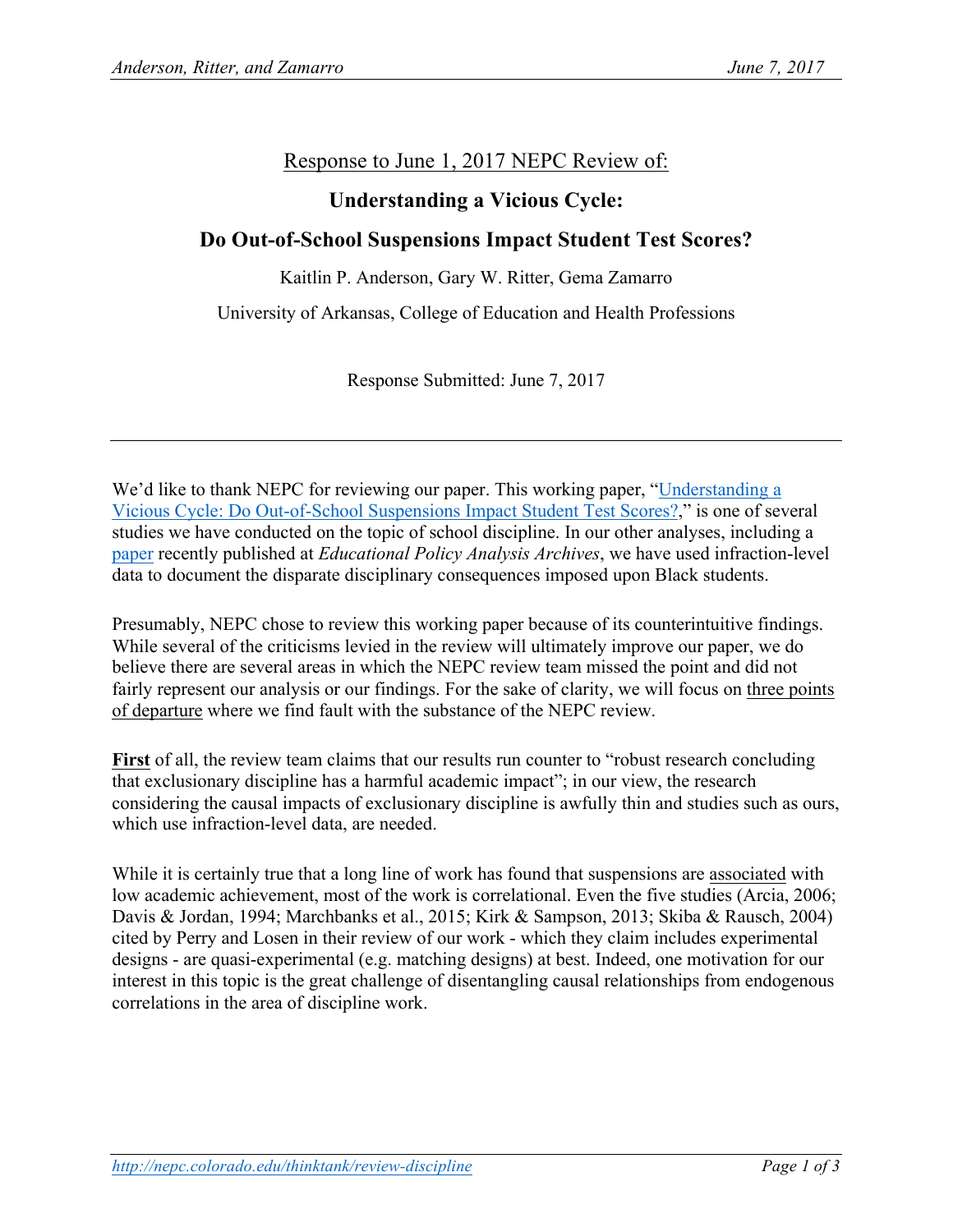### Response to June 1, 2017 NEPC Review of:

#### **Understanding a Vicious Cycle:**

#### **Do Out-of-School Suspensions Impact Student Test Scores?**

Kaitlin P. Anderson, Gary W. Ritter, Gema Zamarro

University of Arkansas, College of Education and Health Professions

Response Submitted: June 7, 2017

We'd like to thank NEPC for reviewing our paper. This working paper, "Understanding a Vicious Cycle: Do Out-of-School Suspensions Impact Student Test Scores?," is one of several studies we have conducted on the topic of school discipline. In our other analyses, including a paper recently published at *Educational Policy Analysis Archives*, we have used infraction-level data to document the disparate disciplinary consequences imposed upon Black students.

Presumably, NEPC chose to review this working paper because of its counterintuitive findings. While several of the criticisms levied in the review will ultimately improve our paper, we do believe there are several areas in which the NEPC review team missed the point and did not fairly represent our analysis or our findings. For the sake of clarity, we will focus on three points of departure where we find fault with the substance of the NEPC review.

First of all, the review team claims that our results run counter to "robust research concluding that exclusionary discipline has a harmful academic impact"; in our view, the research considering the causal impacts of exclusionary discipline is awfully thin and studies such as ours, which use infraction-level data, are needed.

While it is certainly true that a long line of work has found that suspensions are associated with low academic achievement, most of the work is correlational. Even the five studies (Arcia, 2006; Davis & Jordan, 1994; Marchbanks et al., 2015; Kirk & Sampson, 2013; Skiba & Rausch, 2004) cited by Perry and Losen in their review of our work - which they claim includes experimental designs - are quasi-experimental (e.g. matching designs) at best. Indeed, one motivation for our interest in this topic is the great challenge of disentangling causal relationships from endogenous correlations in the area of discipline work.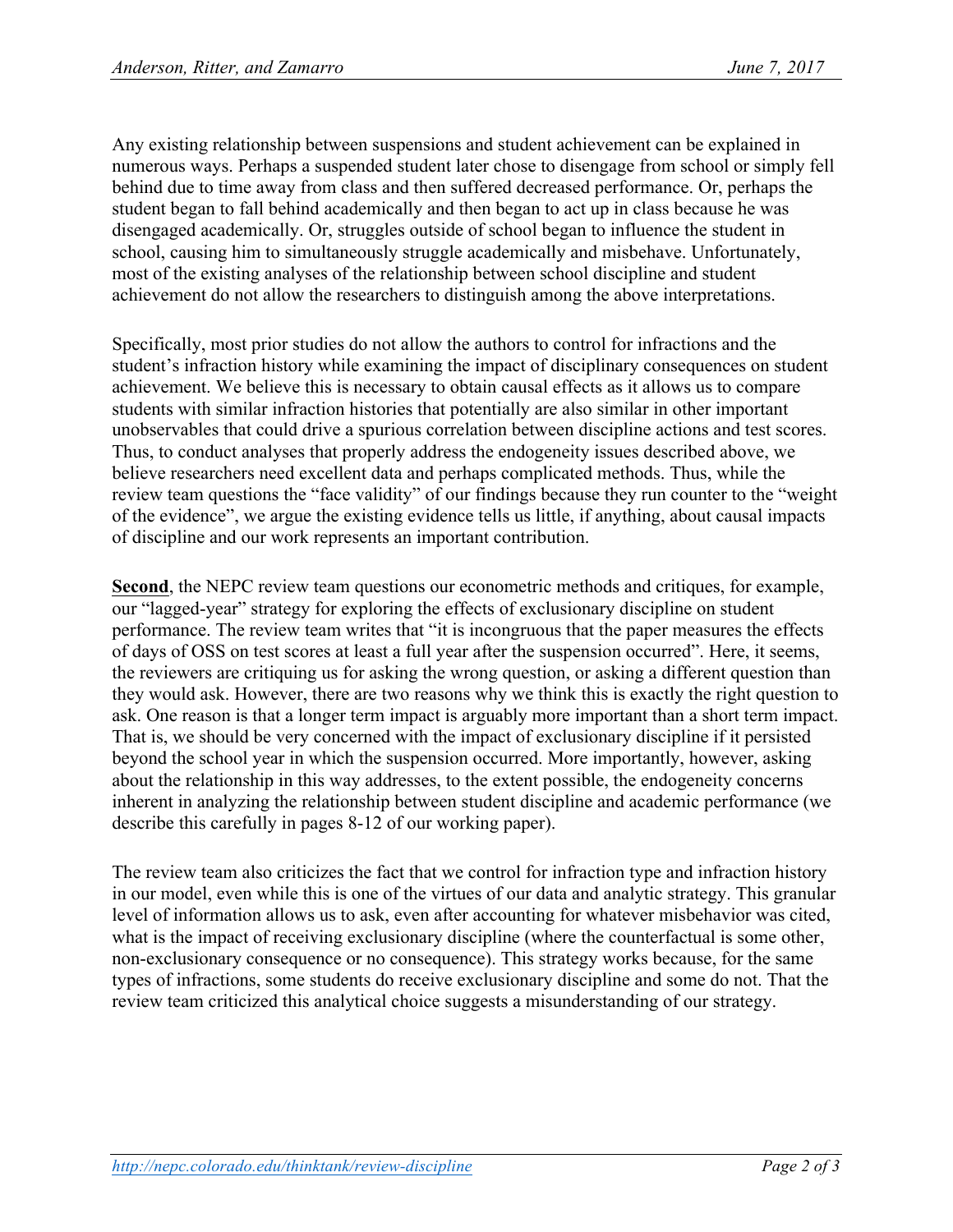Any existing relationship between suspensions and student achievement can be explained in numerous ways. Perhaps a suspended student later chose to disengage from school or simply fell behind due to time away from class and then suffered decreased performance. Or, perhaps the student began to fall behind academically and then began to act up in class because he was disengaged academically. Or, struggles outside of school began to influence the student in school, causing him to simultaneously struggle academically and misbehave. Unfortunately, most of the existing analyses of the relationship between school discipline and student achievement do not allow the researchers to distinguish among the above interpretations.

Specifically, most prior studies do not allow the authors to control for infractions and the student's infraction history while examining the impact of disciplinary consequences on student achievement. We believe this is necessary to obtain causal effects as it allows us to compare students with similar infraction histories that potentially are also similar in other important unobservables that could drive a spurious correlation between discipline actions and test scores. Thus, to conduct analyses that properly address the endogeneity issues described above, we believe researchers need excellent data and perhaps complicated methods. Thus, while the review team questions the "face validity" of our findings because they run counter to the "weight of the evidence", we argue the existing evidence tells us little, if anything, about causal impacts of discipline and our work represents an important contribution.

**Second**, the NEPC review team questions our econometric methods and critiques, for example, our "lagged-year" strategy for exploring the effects of exclusionary discipline on student performance. The review team writes that "it is incongruous that the paper measures the effects of days of OSS on test scores at least a full year after the suspension occurred". Here, it seems, the reviewers are critiquing us for asking the wrong question, or asking a different question than they would ask. However, there are two reasons why we think this is exactly the right question to ask. One reason is that a longer term impact is arguably more important than a short term impact. That is, we should be very concerned with the impact of exclusionary discipline if it persisted beyond the school year in which the suspension occurred. More importantly, however, asking about the relationship in this way addresses, to the extent possible, the endogeneity concerns inherent in analyzing the relationship between student discipline and academic performance (we describe this carefully in pages 8-12 of our working paper).

The review team also criticizes the fact that we control for infraction type and infraction history in our model, even while this is one of the virtues of our data and analytic strategy. This granular level of information allows us to ask, even after accounting for whatever misbehavior was cited, what is the impact of receiving exclusionary discipline (where the counterfactual is some other, non-exclusionary consequence or no consequence). This strategy works because, for the same types of infractions, some students do receive exclusionary discipline and some do not. That the review team criticized this analytical choice suggests a misunderstanding of our strategy.